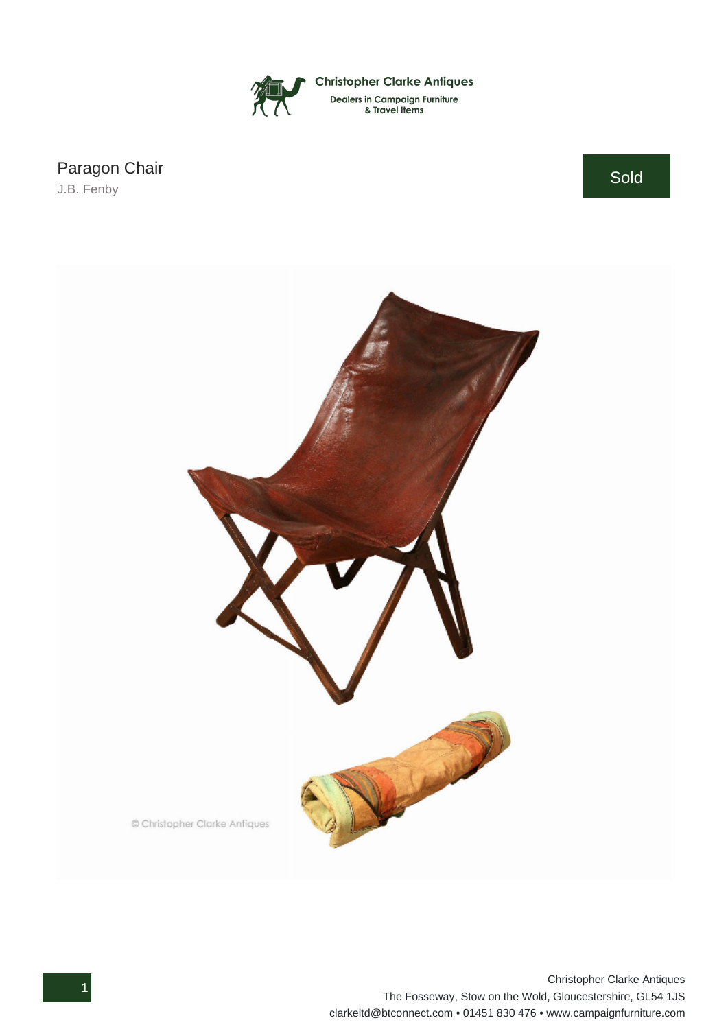

Paragon Chair

J.B. Fenby

Sold